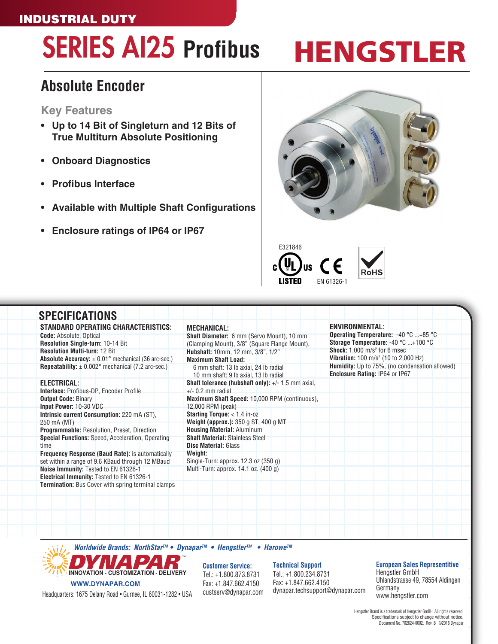### INDUSTRIAL DUTY

# SERIES AI25 **Profibus**

# HENGSTLER

### **Absolute Encoder**

#### **Key Features**

- **• Up to 14 Bit of Singleturn and 12 Bits of True Multiturn Absolute Positioning**
- **• Onboard Diagnostics**
- **• Profibus Interface**
- **• Available with Multiple Shaft Configurations**
- **• Enclosure ratings of IP64 or IP67**





| <b>SPECIFICATIONS</b>                                                             |                                                                                |                                                                                  |
|-----------------------------------------------------------------------------------|--------------------------------------------------------------------------------|----------------------------------------------------------------------------------|
| <b>STANDARD OPERATING CHARACTERISTICS:</b>                                        | <b>MECHANICAL:</b>                                                             | <b>ENVIRONMENTAL:</b>                                                            |
| <b>Code:</b> Absolute, Optical                                                    | Shaft Diameter: 6 mm (Servo Mount), 10 mm                                      | Operating Temperature: -40 °C +85 °C                                             |
| Resolution Single-turn: 10-14 Bit                                                 | (Clamping Mount), 3/8" (Square Flange Mount),                                  | Storage Temperature: -40 °C +100 °C                                              |
| <b>Resolution Multi-turn: 12 Bit</b>                                              | Hubshaft: 10mm, 12 mm, 3/8", 1/2"                                              | <b>Shock:</b> $1,000$ m/s <sup>2</sup> for 6 msec                                |
| <b>Absolute Accuracy:</b> $\pm$ 0.01° mechanical (36 arc-sec.)                    | <b>Maximum Shaft Load:</b>                                                     | <b>Vibration:</b> 100 m/s <sup>2</sup> (10 to 2,000 Hz)                          |
| <b>Repeatability:</b> $\pm$ 0.002° mechanical (7.2 arc-sec.)                      | 6 mm shaft: 13 lb axial, 24 lb radial<br>10 mm shaft: 9 lb axial, 13 lb radial | Humidity: Up to 75%, (no condensation allowed)<br>Enclosure Rating: IP64 or IP67 |
| ELECTRICAL:                                                                       | <b>Shaft tolerance (hubshaft only):</b> $+/- 1.5$ mm axial,                    |                                                                                  |
| <b>Interface: Profibus-DP, Encoder Profile</b>                                    | $+/-$ 0.2 mm radial                                                            |                                                                                  |
| <b>Output Code: Binary</b>                                                        | Maximum Shaft Speed: 10,000 RPM (continuous),                                  |                                                                                  |
| Input Power: 10-30 VDC                                                            | 12,000 RPM (peak)                                                              |                                                                                  |
| Intrinsic current Consumption: 220 mA (ST),                                       | Starting Torque: < 1.4 in-oz                                                   |                                                                                  |
| 250 mA (MT)                                                                       | Weight (approx.): 350 g ST, 400 g MT                                           |                                                                                  |
| <b>Programmable: Resolution, Preset, Direction</b>                                | <b>Housing Material: Aluminum</b>                                              |                                                                                  |
| <b>Special Functions:</b> Speed, Acceleration, Operating<br>time                  | <b>Shaft Material: Stainless Steel</b><br><b>Disc Material: Glass</b>          |                                                                                  |
| <b>Frequency Response (Baud Rate):</b> is automatically                           | Weight:                                                                        |                                                                                  |
| set within a range of 9.6 KBaud through 12 MBaud                                  | Single-Turn: approx. 12.3 oz (350 g)                                           |                                                                                  |
| Noise Immunity: Tested to EN 61326-1<br>Electrical Immunity: Tested to EN 61326-1 | Multi-Turn: approx. 14.1 oz. (400 g)                                           |                                                                                  |
| <b>Termination:</b> Bus Cover with spring terminal clamps                         |                                                                                |                                                                                  |
|                                                                                   |                                                                                |                                                                                  |
|                                                                                   |                                                                                |                                                                                  |

*Worldwide Brands: NorthStarTM* **• Dynapar***TM* **• Hengstler***TM* **• Harowe***TM*



**Customer Service:** Tel.: +1.800.873.8731 Fax: +1.847.662.4150 custserv@dynapar.com **Technical Support**

Tel.: +1.800.234.8731 Fax: +1.847.662.4150 dynapar.techsupport@dynapar.com **European Sales Representitive**

Hengstler GmbH Uhlandstrasse 49, 78554 Aldingen Germany www.hengstler.com

Headquarters: 1675 Delany Road • Gurnee, IL 60031-1282 • USA

#### Hengstler Brand is a trademark of Hengstler GmBH. All rights reserved. Specifications subject to change without notice. Document No. 702624-0002, Rev. B ©2016 Dynapar